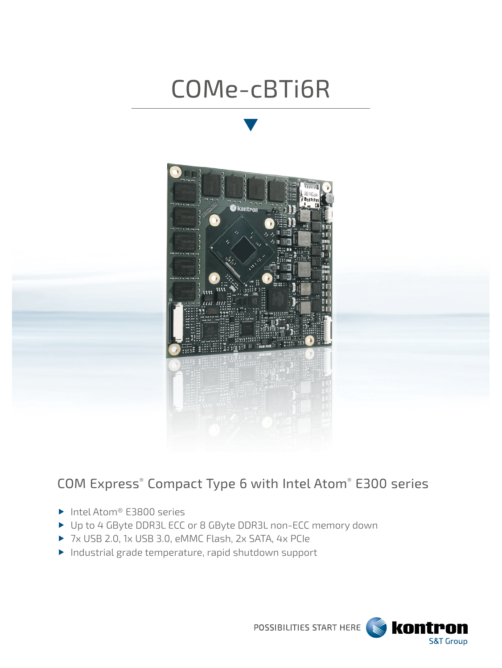# COMe-cBTi6R



## COM Express® Compact Type 6 with Intel Atom® E300 series

- ▶ Intel Atom® E3800 series
- ▶ Up to 4 GByte DDR3L ECC or 8 GByte DDR3L non-ECC memory down
- 7x USB 2.0, 1x USB 3.0, eMMC Flash, 2x SATA, 4x PCIe
- Industrial grade temperature, rapid shutdown support

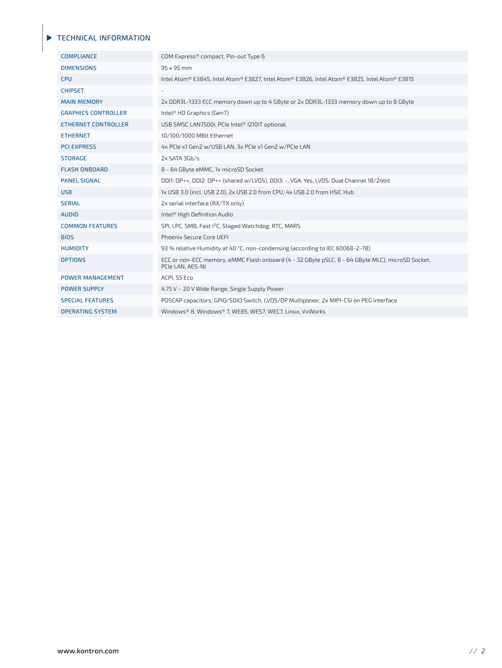#### TECHNICAL INFORMATION

| <b>COMPLIANCE</b>          | COM Express® compact, Pin-out Type 6                                                                                 |
|----------------------------|----------------------------------------------------------------------------------------------------------------------|
| <b>DIMENSIONS</b>          | 95 x 95 mm                                                                                                           |
| <b>CPU</b>                 | Intel Atom® E3845, Intel Atom® E3827, Intel Atom® E3826, Intel Atom® E3825, Intel Atom® E3815                        |
| <b>CHIPSET</b>             |                                                                                                                      |
| <b>MAIN MEMORY</b>         | 2x DDR3L-1333 ECC memory down up to 4 GByte or 2x DDR3L-1333 memory down up to 8 GByte                               |
| <b>GRAPHICS CONTROLLER</b> | Intel <sup>®</sup> HD Graphics (Gen7)                                                                                |
| <b>ETHERNET CONTROLLER</b> | USB SMSC LAN7500i, PCIe Intel® I210IT optional                                                                       |
| <b>ETHERNET</b>            | 10/100/1000 MBit Ethernet                                                                                            |
| <b>PCI EXPRESS</b>         | 4x PCIe x1 Gen2 w/USB LAN, 3x PCIe x1 Gen2 w/PCIe LAN                                                                |
| <b>STORAGE</b>             | 2x SATA 3Gb/s                                                                                                        |
| <b>FLASH ONBOARD</b>       | 8 - 64 GByte eMMC, 1x microSD Socket                                                                                 |
| <b>PANEL SIGNAL</b>        | DDI1: DP++, DDI2: DP++ (shared w/LVDS), DDI3: -, VGA: Yes, LVDS: Dual Channel 18/24bit                               |
| <b>USB</b>                 | 1x USB 3.0 (incl. USB 2.0), 2x USB 2.0 from CPU, 4x USB 2.0 from HSIC Hub                                            |
| <b>SERIAL</b>              | 2x serial interface (RX/TX only)                                                                                     |
| <b>AUDIO</b>               | Intel <sup>®</sup> High Definition Audio                                                                             |
| <b>COMMON FEATURES</b>     | SPI, LPC, SMB, Fast I <sup>2</sup> C, Staged Watchdog, RTC, MARS                                                     |
| <b>BIOS</b>                | Phoenix Secure Core UEFI                                                                                             |
| <b>HUMIDITY</b>            | 93 % relative Humidity at 40 °C, non-condensing (according to IEC 60068-2-78)                                        |
| <b>OPTIONS</b>             | ECC or non-ECC memory, eMMC Flash onboard (4 - 32 GByte pSLC, 8 - 64 GByte MLC), microSD Socket,<br>PCIe LAN, AES-NI |
| <b>POWER MANAGEMENT</b>    | ACPI, S5 Eco                                                                                                         |
| <b>POWER SUPPLY</b>        | 4.75 V - 20 V Wide Range, Single Supply Power                                                                        |
| <b>SPECIAL FEATURES</b>    | POSCAP capacitors, GPIO/SDIO Switch, LVDS/DP Multiplexer, 2x MIPI-CSI on PEG interface                               |
| <b>OPERATING SYSTEM</b>    | Windows® 8, Windows® 7, WE8S, WES7, WEC7, Linux, VxWorks                                                             |